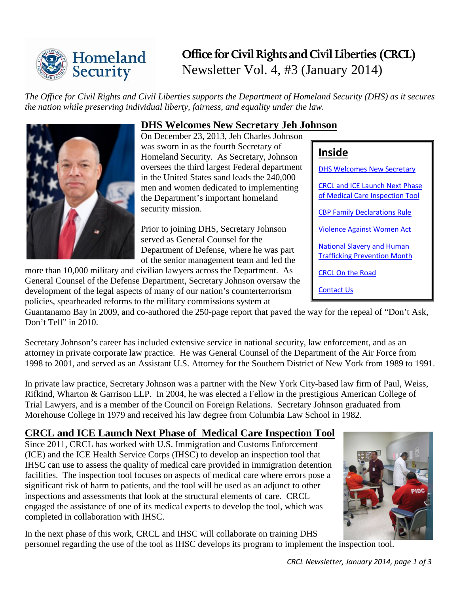

# **Office for Civil Rights and Civil Liberties (CRCL)** Newsletter Vol. 4, #3 (January 2014)

*The Office for Civil Rights and Civil [L](http://www.dhs.gov/)iberties supports the Department of Homeland Security (DHS) as it secures the nation while preserving individual liberty, fairness, and equality under the law.*



# <span id="page-0-0"></span>**DHS Welcomes New Secretary Jeh Johnson**

On December 23, 2013, Jeh Charles Johnson was sworn in as the fourth Secretary of Homeland Security. As Secretary, Johnson oversees the third largest Federal department in the United States sand leads the 240,000 men and women dedicated to implementing the Department's important homeland security mission.

Prior to joining DHS, Secretary Johnson served as General Counsel for the Department of Defense, where he was part of the senior management team and led the

more than 10,000 military and civilian lawyers across the Department. As General Counsel of the Defense Department, Secretary Johnson oversaw the development of the legal aspects of many of our nation's counterterrorism policies, spearheaded reforms to the military commissions system at

Guantanamo Bay in 2009, and co-authored the 250-page report that paved the way for the repeal of "Don't Ask, Don't Tell" in 2010.

Secretary Johnson's career has included extensive service in national security, law enforcement, and as an attorney in private corporate law practice. He was General Counsel of the Department of the Air Force from 1998 to 2001, and served as an Assistant U.S. Attorney for the Southern District of New York from 1989 to 1991.

In private law practice, Secretary Johnson was a partner with the New York City-based law firm of Paul, Weiss, Rifkind, Wharton & Garrison LLP. In 2004, he was elected a Fellow in the prestigious American College of Trial Lawyers, and is a member of the Council on Foreign Relations. Secretary Johnson graduated from Morehouse College in 1979 and received his law degree from Columbia Law School in 1982.

### <span id="page-0-1"></span>**CRCL and ICE Launch Next Phase of Medical Care Inspection Tool**

Since 2011, CRCL has worked with U.S. Immigration and Customs Enforcement (ICE) and the ICE Health Service Corps (IHSC) to develop an inspection tool that IHSC can use to assess the quality of medical care provided in immigration detention facilities. The inspection tool focuses on aspects of medical care where errors pose a significant risk of harm to patients, and the tool will be used as an adjunct to other inspections and assessments that look at the structural elements of care. CRCL engaged the assistance of one of its medical experts to develop the tool, which was completed in collaboration with IHSC.

In the next phase of this work, CRCL and IHSC will collaborate on training DHS personnel regarding the use of the tool as IHSC develops its program to implement the inspection tool.

| ţ | h    |
|---|------|
|   | PIDC |

[CRCL and ICE Launch Next Phase](#page-0-1)  [of Medical Care Inspection Tool](#page-0-1) [CBP Family Declarations Rule](#page-1-0) [Violence Against Women Act](#page-1-1) [National Slavery and Human](#page-1-2)  [Trafficking Prevention Month](#page-1-2)

DHS [Welcomes New Secretary](#page-0-0) 

[CRCL On the Road](#page-2-0)

[Contact Us](#page-2-1)

**Inside**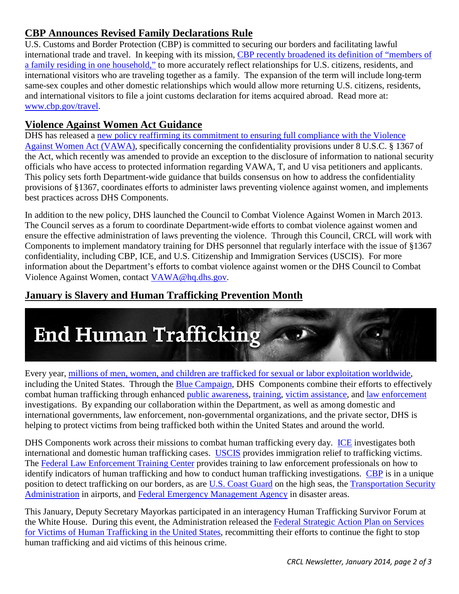### <span id="page-1-0"></span>**CBP Announces Revised Family Declarations Rule**

U.S. Customs and Border Protection (CBP) is committed to securing our borders and facilitating lawful international trade and travel. In keeping with its mission, [CBP recently broadened its definition of "members of](http://www.cbp.gov/xp/cgov/travel/clearing/expand_filing.xml)  [a family residing in one household,"](http://www.cbp.gov/xp/cgov/travel/clearing/expand_filing.xml) to more accurately reflect relationships for U.S. citizens, residents, and international visitors who are traveling together as a family. The expansion of the term will include long-term same-sex couples and other domestic relationships which would allow more returning U.S. citizens, residents, and international visitors to file a joint customs declaration for items acquired abroad. Read more at: [www.cbp.gov/travel.](http://www.cbp.gov/travel)

### <span id="page-1-1"></span>**Violence Against Women Act Guidance**

DHS has released a new policy reaffirming its commitment to ensuring full compliance with the Violence [Against Women Act \(VAWA\),](http://www.dhs.gov/sites/default/files/publications/implementation-of-section-%201367-%20information-provisions-directive-002-02.pdf) specifically concerning the confidentiality provisions under 8 U.S.C. § 1367 of the Act, which recently was amended to provide an exception to the disclosure of information to national security officials who have access to protected information regarding VAWA, T, and U visa petitioners and applicants. This policy sets forth Department-wide guidance that builds consensus on how to address the confidentiality provisions of §1367, coordinates efforts to administer laws preventing violence against women, and implements best practices across DHS Components.

In addition to the new policy, DHS launched the Council to Combat Violence Against Women in March 2013. The Council serves as a forum to coordinate Department-wide efforts to combat violence against women and ensure the effective administration of laws preventing the violence. Through this Council, CRCL will work with Components to implement mandatory training for DHS personnel that regularly interface with the issue of §1367 confidentiality, including CBP, ICE, and U.S. Citizenship and Immigration Services (USCIS). For more information about the Department's efforts to combat violence against women or the DHS Council to Combat Violence Against Women, contact [VAWA@hq.dhs.gov.](mailto:VAWA@hq.dhs.gov)

## <span id="page-1-2"></span>**January is Slavery and Human Trafficking Prevention Month**



Every year, [millions of men, women, and children are trafficked for sexual or labor exploitation worldwide,](http://www.whitehouse.gov/the-press-office/2013/12/31/presidential-proclamation-national-slavery-and-human-trafficking-prevent) including the United States. Through the [Blue Campaign,](http://www.dhs.gov/blue-campaign) DHS Components combine their efforts to effectively combat human trafficking through enhanced [public awareness,](http://www.dhs.gov/blue-campaign-materials-catalog) [training,](http://www.dhs.gov/human-trafficking-awareness-training) [victim assistance,](http://www.dhs.gov/human-trafficking-victim-assistance-program) and law enforcement investigations. By expanding our collaboration within the Department, as well as among domestic and international governments, law enforcement, non-governmental organizations, and the private sector, DHS is helping to protect victims from being trafficked both within the United States and around the world.

DHS Components work across their missions to combat human trafficking every day. [ICE](http://www.ice.gov/human-trafficking/) investigates both international and domestic human trafficking cases. [USCIS](http://www.uscis.gov/humanitarian/victims-human-trafficking-other-crimes) provides immigration relief to trafficking victims. The [Federal Law Enforcement Training Center](http://www.fletc.gov/) provides training to law enforcement professionals on how to identify indicators of human trafficking and how to conduct human trafficking investigations. [CBP](http://www.cbp.gov/xp/cgov/border_security/human_trafficking/overview.xml%23ActionsCBPIsTakingToEnforceTVPA) is in a unique position to detect trafficking on our borders, as are [U.S. Coast Guard](http://www.uscg.mil/) on the high seas, the [Transportation Security](http://www.tsa.gov/)  [Administration](http://www.tsa.gov/) in airports, and [Federal Emergency Management Agency](http://www.fema.gov/) in disaster areas.

This January, Deputy Secretary Mayorkas participated in an interagency Human Trafficking Survivor Forum at the White House. During this event, the Administration released the [Federal Strategic Action Plan on Services](http://www.ovc.gov/pubs/FederalHumanTraffickingStrategicPlan.pdf)  [for Victims of Human Trafficking in the United States,](http://www.ovc.gov/pubs/FederalHumanTraffickingStrategicPlan.pdf) recommitting their efforts to continue the fight to stop human trafficking and aid victims of this heinous crime.